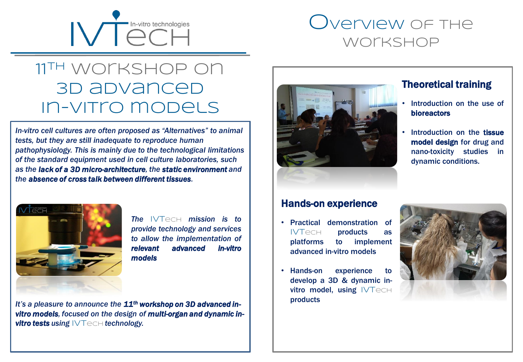

# Overview of the workshop

## **11th** workshop on **3D advanced In-vitro models**

*In-vitro cell cultures are often proposed as "Alternatives" to animal tests, but they are still inadequate to reproduce human pathophysiology. This is mainly due to the technological limitations of the standard equipment used in cell culture laboratories, such as the lack of a 3D micro-architecture, the static environment and the absence of cross talk between different tissues.* 



*The* **IVT**ech *mission is to provide technology and services to allow the implementation of relevant advanced in-vitro models*

*It's a pleasure to announce the 11th workshop on 3D advanced invitro models, focused on the design of multi-organ and dynamic invitro tests using*  $\forall$ Techt *technology.* 



### Theoretical training

- Introduction on the use of bioreactors
- Introduction on the **tissue** model design for drug and nano-toxicity studies in dynamic conditions.

### Hands-on experience

- Practical demonstration of **IVT**ech products as platforms to implement advanced in-vitro models
- Hands-on experience to develop a 3D & dynamic invitro model, using **IVTech** products